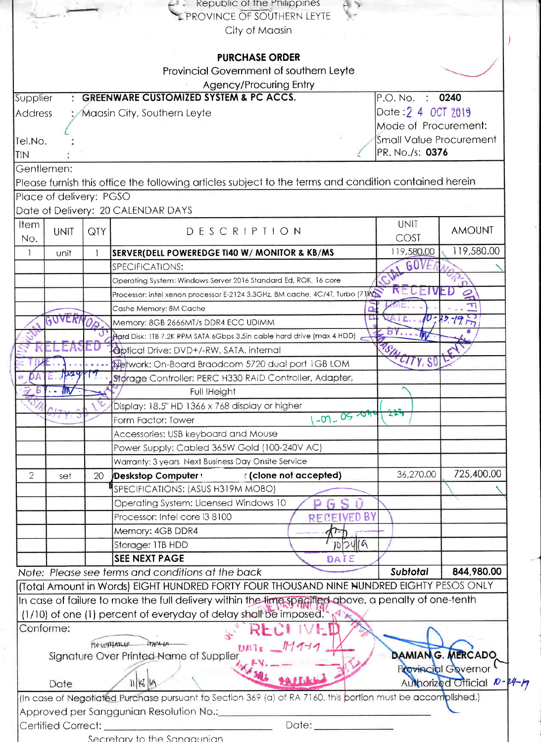|                         |             |     | $\leftarrow$ Republic of the Philippines<br>$(3 - 5)$<br><b>PROVINCE OF SOUTHERN LEYTE</b>                  |                                |                            |
|-------------------------|-------------|-----|-------------------------------------------------------------------------------------------------------------|--------------------------------|----------------------------|
|                         |             |     | City of Maasin                                                                                              |                                |                            |
|                         |             |     |                                                                                                             |                                |                            |
|                         |             |     | <b>PURCHASE ORDER</b>                                                                                       |                                |                            |
|                         |             |     | Provincial Government of southern Leyte                                                                     |                                |                            |
|                         |             |     | Agency/Procuring Entry                                                                                      |                                |                            |
| Supplier                |             |     | <b>GREENWARE CUSTOMIZED SYSTEM &amp; PC ACCS.</b>                                                           | P.O. No.                       | 0240                       |
| Address                 |             |     | Maasin City, Southern Leyte                                                                                 | Date: 2 4 0CT 2019             |                            |
|                         |             |     |                                                                                                             | Mode of Procurement:           |                            |
| Tel.No.                 |             |     |                                                                                                             | <b>Small Value Procurement</b> |                            |
| <b>TIN</b>              |             |     |                                                                                                             | PR. No./s: 0376                |                            |
| Gentlemen:              |             |     |                                                                                                             |                                |                            |
|                         |             |     | Please furnish this office the following articles subject to the terms and condition contained herein       |                                |                            |
| Place of delivery: PGSO |             |     |                                                                                                             |                                |                            |
|                         |             |     | Date of Delivery: 20 CALENDAR DAYS                                                                          |                                |                            |
| <b>Item</b>             |             |     |                                                                                                             | <b>UNIT</b>                    | <b>AMOUNT</b>              |
| No.                     | <b>UNIT</b> | QTY | DESCRIPTION                                                                                                 | <b>COST</b>                    |                            |
| $\mathbf{1}$            | unit        | 1   | SERVER(DELL POWEREDGE TI40 W/ MONITOR & KB/MS                                                               | 119,580.00                     | 119,580.00                 |
|                         |             |     | SPECIFICATIONS:                                                                                             | GUV                            |                            |
|                         |             |     | Operating System: Windows Server 2016 Standard Ed, ROK, 16 core                                             |                                |                            |
|                         |             |     | Processor: intel xenon processor E-2124 3.3GHz, 8M cache, 4C/4T, Turbo (71W)                                |                                | $\mathfrak{D}$             |
|                         |             |     | Cashe Memory: 8M Cache                                                                                      |                                | Ti                         |
|                         | GUVER       |     | Memory: 8GB 2666MT/s DDR4 ECC UDIMM                                                                         |                                | $0^{222} - 19 - 7$         |
|                         |             |     | Hard Disk: 1TB 7.2K RPM SATA 6Gbps 3.5in cable hard drive (max 4 HDD)                                       |                                |                            |
|                         |             |     | <b>Optical Drive: DVD+/-RW, SATA, internal</b>                                                              | V,                             |                            |
|                         |             |     | Network: On-Board Braodcom 5720 dual port 1GB LOM                                                           | Z/7Y, S0                       |                            |
|                         | D24         |     | Størage Controller: PERC H330 RAID Controller, Adapter,                                                     |                                |                            |
|                         |             |     | Full IHeight                                                                                                |                                |                            |
|                         |             |     | Display: 18.5" HD 1366 x 768 display or higher                                                              | ቷሮች                            |                            |
|                         |             |     | $-07 - 05 - 09 + 0$<br>Form Factor: Tower                                                                   |                                |                            |
|                         |             |     | Accessories: USB keyboard and Mouse                                                                         |                                |                            |
|                         |             |     | Power Supply: Cabled 365W Gold (100-240V AC)                                                                |                                |                            |
|                         |             |     | Warranty: 3 years Next Business Day Onsite Service                                                          |                                |                            |
| $\overline{2}$          | set         | 20  | Deskstop Computer values of (clone not accepted)                                                            | 36,270.00                      | 725,400.00                 |
|                         |             |     | SPECIFICATIONS: (ASUS H319M MOBO)                                                                           |                                |                            |
|                         |             |     | Operating System: Licensed Windows 10                                                                       |                                |                            |
|                         |             |     | Processor: Intel core i3 8100<br>RECEIVED BY                                                                |                                |                            |
|                         |             |     | Memory: 4GB DDR4                                                                                            |                                |                            |
|                         |             |     | 107416<br>Storage: 1TB HDD                                                                                  |                                |                            |
|                         |             |     | <b>SEE NEXT PAGE</b><br>DATE                                                                                |                                |                            |
|                         |             |     | Note: Please see terms and conditions at the back                                                           | Subtotal                       | 844,980.00                 |
|                         |             |     | (Total Amount in Words) EIGHT HUNDRED FORTY FOUR THOUSAND NINE NUNDRED EIGHTY PESOS ONLY                    |                                |                            |
|                         |             |     | In case of failure to make the full delivery within the lime specified above, a penalty of one-tenth        |                                |                            |
|                         |             |     | (1/10) of one (1) percent of everyday of delay shall be imposed.                                            |                                |                            |
| Conforme:               |             |     |                                                                                                             |                                |                            |
|                         |             |     | FLOSEPHARLE LAPALA<br>$DMI_{I}$ $M949$                                                                      |                                | <b>DAMIAN G. MERCADO</b>   |
|                         |             |     | Signature Over Printed Name of Supplier                                                                     |                                | Provincial Governor        |
|                         |             |     |                                                                                                             |                                | Authorized Official D-24-1 |
| Date                    |             |     | 11/16/19                                                                                                    |                                |                            |
|                         |             |     | (In case of Negotiated Purchase pursuant to Section 369 (a) of RA 7160, this portion must be accomplished.) |                                |                            |
|                         |             |     | Approved per Sanggunian Resolution No.: _________                                                           |                                |                            |
|                         |             |     | Date: ____________<br>Secretary to the Sangaunian                                                           |                                |                            |
|                         |             |     |                                                                                                             |                                |                            |

 $\mathbb{R}$